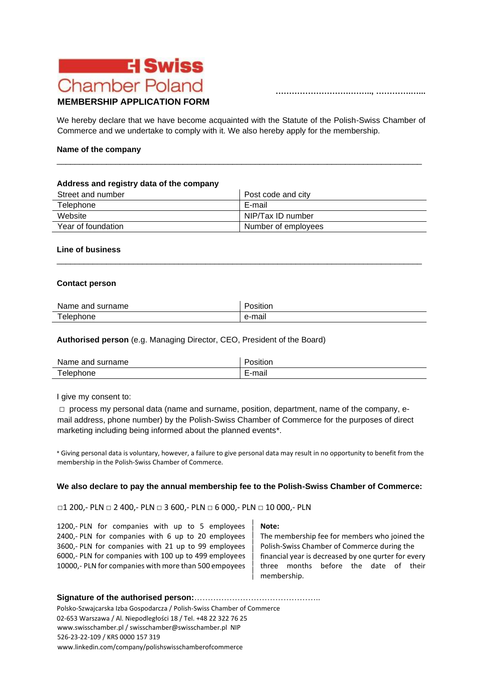

**……………………….…….., ………….…...** 

# **MEMBERSHIP APPLICATION FORM**

We hereby declare that we have become acquainted with the Statute of the Polish-Swiss Chamber of Commerce and we undertake to comply with it. We also hereby apply for the membership.

\_\_\_\_\_\_\_\_\_\_\_\_\_\_\_\_\_\_\_\_\_\_\_\_\_\_\_\_\_\_\_\_\_\_\_\_\_\_\_\_\_\_\_\_\_\_\_\_\_\_\_\_\_\_\_\_\_\_\_\_\_\_\_\_\_\_\_\_\_\_\_\_\_\_\_\_\_\_\_\_\_

#### **Name of the company**

#### **Address and registry data of the company**

| Street and number  | Post code and city  |
|--------------------|---------------------|
| Telephone          | E-mail              |
| Website            | NIP/Tax ID number   |
| Year of foundation | Number of employees |

\_\_\_\_\_\_\_\_\_\_\_\_\_\_\_\_\_\_\_\_\_\_\_\_\_\_\_\_\_\_\_\_\_\_\_\_\_\_\_\_\_\_\_\_\_\_\_\_\_\_\_\_\_\_\_\_\_\_\_\_\_\_\_\_\_\_\_\_\_\_\_\_\_\_\_\_\_\_\_\_\_

#### **Line of business**

#### **Contact person**

| Name and surname | .<br>Position |
|------------------|---------------|
| Telephone        | e-mail        |

### **Authorised person** (e.g. Managing Director, CEO, President of the Board)

| Name and surname | $\overline{\phantom{a}}$<br>osition' |
|------------------|--------------------------------------|
| Telephone        | :-mail<br>–                          |

I give my consent to:

 $\square$  process my personal data (name and surname, position, department, name of the company, email address, phone number) by the Polish-Swiss Chamber of Commerce for the purposes of direct marketing including being informed about the planned events\*.

\* Giving personal data is voluntary, however, a failure to give personal data may result in no opportunity to benefit from the membership in the Polish-Swiss Chamber of Commerce.

#### **We also declare to pay the annual membership fee to the Polish-Swiss Chamber of Commerce:**

□1 200,- PLN □ 2 400,- PLN □ 3 600,- PLN □ 6 000,- PLN □ 10 000,- PLN

1200,- PLN for companies with up to 5 employees **Note:** 2400,- PLN for companies with 6 up to 20 employees The membership fee for members who joined the 3600,- PLN for companies with 21 up to 99 employees | Polish-Swiss Chamber of Commerce during the 6000,- PLN for companies with 100 up to 499 employees financial year is decreased by one qurter for every 10000,- PLN for companies with more than 500 empoyees three months before the date of their

membership.

## **Signature of the authorised person:**………………………………………..

Polsko-Szwajcarska Izba Gospodarcza / Polish-Swiss Chamber of Commerce 02-653 Warszawa / Al. Niepodległości 18 / Tel. +48 22 322 76 25 www.swisschamber.pl / swisschamber@swisschamber.pl NIP 526-23-22-109 / KRS 0000 157 319 [www.linkedin.com/company/polishswisschamberofcommerce](http://www.linkedin.com/company/polishswisschamberofcommerce)